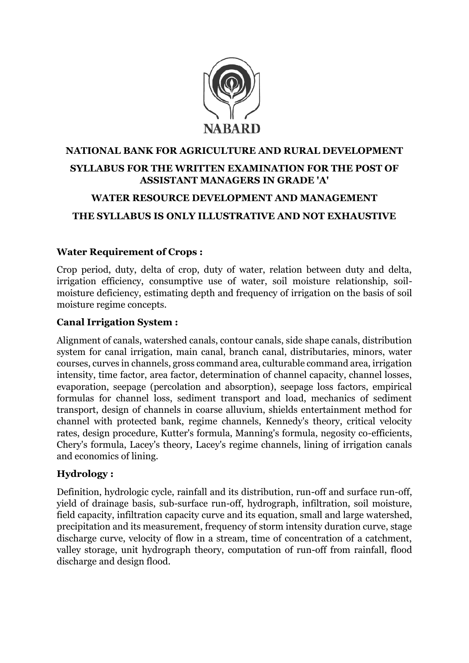

## **NATIONAL BANK FOR AGRICULTURE AND RURAL DEVELOPMENT SYLLABUS FOR THE WRITTEN EXAMINATION FOR THE POST OF ASSISTANT MANAGERS IN GRADE 'A' WATER RESOURCE DEVELOPMENT AND MANAGEMENT**

### **THE SYLLABUS IS ONLY ILLUSTRATIVE AND NOT EXHAUSTIVE**

#### **Water Requirement of Crops :**

Crop period, duty, delta of crop, duty of water, relation between duty and delta, irrigation efficiency, consumptive use of water, soil moisture relationship, soilmoisture deficiency, estimating depth and frequency of irrigation on the basis of soil moisture regime concepts.

#### **Canal Irrigation System :**

Alignment of canals, watershed canals, contour canals, side shape canals, distribution system for canal irrigation, main canal, branch canal, distributaries, minors, water courses, curves in channels, gross command area, culturable command area, irrigation intensity, time factor, area factor, determination of channel capacity, channel losses, evaporation, seepage (percolation and absorption), seepage loss factors, empirical formulas for channel loss, sediment transport and load, mechanics of sediment transport, design of channels in coarse alluvium, shields entertainment method for channel with protected bank, regime channels, Kennedy's theory, critical velocity rates, design procedure, Kutter's formula, Manning's formula, negosity co-efficients, Chery's formula, Lacey's theory, Lacey's regime channels, lining of irrigation canals and economics of lining.

### **Hydrology :**

Definition, hydrologic cycle, rainfall and its distribution, run-off and surface run-off, yield of drainage basis, sub-surface run-off, hydrograph, infiltration, soil moisture, field capacity, infiltration capacity curve and its equation, small and large watershed, precipitation and its measurement, frequency of storm intensity duration curve, stage discharge curve, velocity of flow in a stream, time of concentration of a catchment, valley storage, unit hydrograph theory, computation of run-off from rainfall, flood discharge and design flood.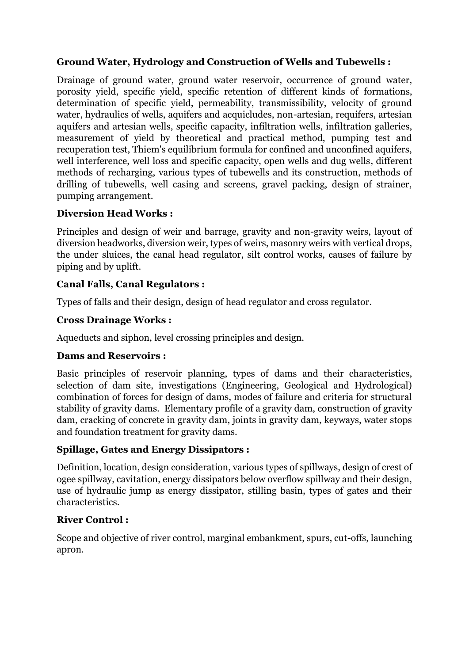### **Ground Water, Hydrology and Construction of Wells and Tubewells :**

Drainage of ground water, ground water reservoir, occurrence of ground water, porosity yield, specific yield, specific retention of different kinds of formations, determination of specific yield, permeability, transmissibility, velocity of ground water, hydraulics of wells, aquifers and acquicludes, non-artesian, requifers, artesian aquifers and artesian wells, specific capacity, infiltration wells, infiltration galleries, measurement of yield by theoretical and practical method, pumping test and recuperation test, Thiem's equilibrium formula for confined and unconfined aquifers, well interference, well loss and specific capacity, open wells and dug wells, different methods of recharging, various types of tubewells and its construction, methods of drilling of tubewells, well casing and screens, gravel packing, design of strainer, pumping arrangement.

### **Diversion Head Works :**

Principles and design of weir and barrage, gravity and non-gravity weirs, layout of diversion headworks, diversion weir, types of weirs, masonry weirs with vertical drops, the under sluices, the canal head regulator, silt control works, causes of failure by piping and by uplift.

### **Canal Falls, Canal Regulators :**

Types of falls and their design, design of head regulator and cross regulator.

### **Cross Drainage Works :**

Aqueducts and siphon, level crossing principles and design.

### **Dams and Reservoirs :**

Basic principles of reservoir planning, types of dams and their characteristics, selection of dam site, investigations (Engineering, Geological and Hydrological) combination of forces for design of dams, modes of failure and criteria for structural stability of gravity dams. Elementary profile of a gravity dam, construction of gravity dam, cracking of concrete in gravity dam, joints in gravity dam, keyways, water stops and foundation treatment for gravity dams.

### **Spillage, Gates and Energy Dissipators :**

Definition, location, design consideration, various types of spillways, design of crest of ogee spillway, cavitation, energy dissipators below overflow spillway and their design, use of hydraulic jump as energy dissipator, stilling basin, types of gates and their characteristics.

### **River Control :**

Scope and objective of river control, marginal embankment, spurs, cut-offs, launching apron.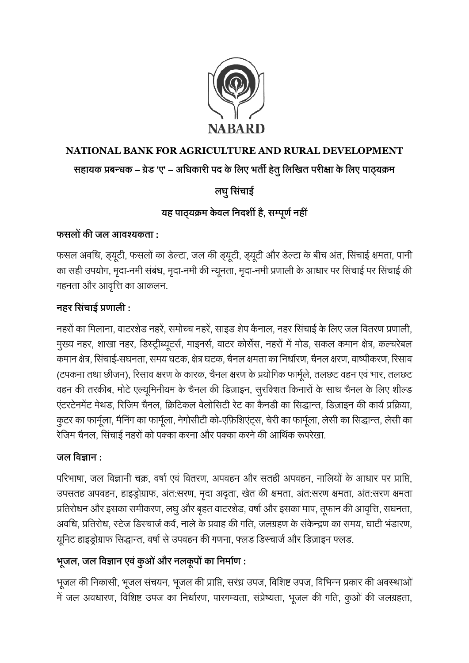

# **NATIONAL BANK FOR AGRICULTURE AND RURAL DEVELOPMENT सहायक प्रबन्धक – ग्रेड 'ए' – अधधकारी पद केधिए भर्ती हर्तेुधिधिर्त परीक्षा केधिए पाठ्यक्रम**

# **िघुधसचिं ाई**

## **यह पाठ्यक्रम केवि धिदर्शी है, सम्पूर्णिहीं**

## **फसिों की जि आवश्यकर्ता :**

फसल अवधि, ड्यूटी, फसलों का डेल्टा, जल की ड्यूटी, ड्यूटी और डेल्टा केबीच अंत, धसंचाई क्षमता, पानी का सही उपयोग, मृदा-नमी संबंध, मृदा-नमी की न्यूनता, मृदा-नमी प्रणाली के आधार पर सिंचाई पर सिंचाई की गहनता और आवृत्ति का आकलन.

## **िहर धसचिं ाई प्रर्ािी :**

नहरों का धमलाना,वाटरशेड नहरें, समोच्च नहरें, साइड शेप कैनाल, नहर धसंचाई के धलए जल धवतरण प्रणाली, मुख्य नहर, शाखा नहर, डिस्ट्रीब्यूटर्स, माइनर्स, वाटर कोर्सेस, नहरों में मोड, सकल कमान क्षेत्र, कल्चरेबल कमान क्षेत्र, सिंचाई-सघनता, समय घटक, क्षेत्र घटक, चैनल क्षमता का निर्धारण, चैनल क्षरण, वाष्पीकरण, रिसाव (टपकना तथा छीजन), रिसाव क्षरण के कारक, चैनल क्षरण के प्रयोगिक फार्मुले, तलछट वहन एवं भार, तलछट वहन की तरकीब, मोटे एल्यूमिनीयम के चैनल की डिज़ाइन, सुरक्शित किनारों के साथ चैनल के लिए शील्ड एंटरटेनमेंट मेथड, रिजिम चैनल, क्रिटिकल वेलोसिटी रेट का कैनडी का सिद्धान्त, डिज़ाइन की कार्य प्रक्रिया, कुटर का फार्मुला, मैनिंग का फार्मुला, नेगोसीटी को-एफ़िशिएंट्स, चेरी का फार्मुला, लेसी का सिद्धान्त, लेसी का रेजिम चैनल, सिंचाई नहरों को पक्का करना और पक्का करने की आर्थिक रूपरेखा.

### जल विज्ञान :

परिभाषा, जल विज्ञानी चक्र, वर्षा एवं वितरण, अपवहन और सतही अपवहन, नालियों के आधार पर प्राप्ति, उपसतह अपवहन, हाइड्रोग्राफ, अंत:सरण, मृदा अदृता, खेत की क्षमता, अंत:सरण क्षमता, अंत:सरण क्षमता प्रतिरोधन और इसका समीकरण, लघु और बृहत वाटरशेड, वर्षा और इसका माप, तूफान की आवृत्ति, सघनता, अवधि, प्रतिरोध, स्टेज डिस्चार्ज कर्व, नाले के प्रवाह की गति, जलग्रहण के संकेन्द्रण का समय, घाटी भंडारण, यूनिट हाइड्रोग्राफ सिद्धान्त, वर्षा से उपवहन की गणना, फ्लड डिस्चार्ज और डिज़ाइन फ्लड.

## **भूजि, जि धवज्ञाि एविंकुओिंऔर ििकूपों का धिमाणर् :**

भूजल की निकासी, भूजल संचयन, भूजल की प्राप्ति, सरंध्र उपज, विशिष्ट उपज, विभिन्न प्रकार की अवस्थाओं मेंजल अविारण, धवधशष्ट उपज का धनिासरण, पारगम्यता, संप्रेष्यता, भूजल की गधत, कुओं की जलग्रहता,